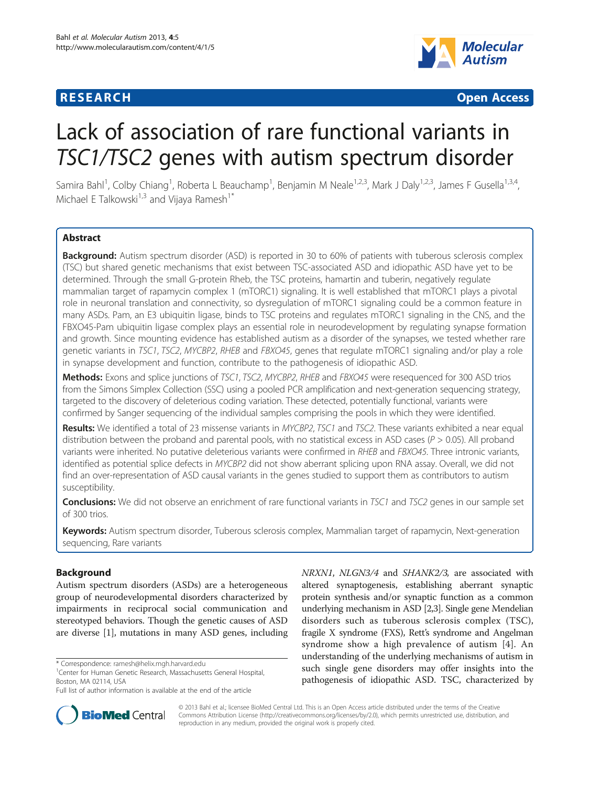

**RESEARCH CHINESE ARCH CHINESE ARCH CHINESE ARCH <b>CHINESE ARCH** 

# Lack of association of rare functional variants in TSC1/TSC2 genes with autism spectrum disorder

Samira Bahl<sup>1</sup>, Colby Chiang<sup>1</sup>, Roberta L Beauchamp<sup>1</sup>, Benjamin M Neale<sup>1,2,3</sup>, Mark J Daly<sup>1,2,3</sup>, James F Gusella<sup>1,3,4</sup>, Michael E Talkowski<sup>1,3</sup> and Vijaya Ramesh<sup>1\*</sup>

# **Abstract**

Background: Autism spectrum disorder (ASD) is reported in 30 to 60% of patients with tuberous sclerosis complex (TSC) but shared genetic mechanisms that exist between TSC-associated ASD and idiopathic ASD have yet to be determined. Through the small G-protein Rheb, the TSC proteins, hamartin and tuberin, negatively regulate mammalian target of rapamycin complex 1 (mTORC1) signaling. It is well established that mTORC1 plays a pivotal role in neuronal translation and connectivity, so dysregulation of mTORC1 signaling could be a common feature in many ASDs. Pam, an E3 ubiquitin ligase, binds to TSC proteins and regulates mTORC1 signaling in the CNS, and the FBXO45-Pam ubiquitin ligase complex plays an essential role in neurodevelopment by regulating synapse formation and growth. Since mounting evidence has established autism as a disorder of the synapses, we tested whether rare genetic variants in TSC1, TSC2, MYCBP2, RHEB and FBXO45, genes that regulate mTORC1 signaling and/or play a role in synapse development and function, contribute to the pathogenesis of idiopathic ASD.

Methods: Exons and splice junctions of TSC1, TSC2, MYCBP2, RHEB and FBXO45 were resequenced for 300 ASD trios from the Simons Simplex Collection (SSC) using a pooled PCR amplification and next-generation sequencing strategy, targeted to the discovery of deleterious coding variation. These detected, potentially functional, variants were confirmed by Sanger sequencing of the individual samples comprising the pools in which they were identified.

Results: We identified a total of 23 missense variants in MYCBP2, TSC1 and TSC2. These variants exhibited a near equal distribution between the proband and parental pools, with no statistical excess in ASD cases ( $P > 0.05$ ). All proband variants were inherited. No putative deleterious variants were confirmed in RHEB and FBXO45. Three intronic variants, identified as potential splice defects in MYCBP2 did not show aberrant splicing upon RNA assay. Overall, we did not find an over-representation of ASD causal variants in the genes studied to support them as contributors to autism susceptibility.

Conclusions: We did not observe an enrichment of rare functional variants in TSC1 and TSC2 genes in our sample set of 300 trios.

Keywords: Autism spectrum disorder, Tuberous sclerosis complex, Mammalian target of rapamycin, Next-generation sequencing, Rare variants

# Background

Autism spectrum disorders (ASDs) are a heterogeneous group of neurodevelopmental disorders characterized by impairments in reciprocal social communication and stereotyped behaviors. Though the genetic causes of ASD are diverse [\[1](#page-9-0)], mutations in many ASD genes, including

NRXN1, NLGN3/4 and SHANK2/3, are associated with altered synaptogenesis, establishing aberrant synaptic protein synthesis and/or synaptic function as a common underlying mechanism in ASD [\[2,3](#page-9-0)]. Single gene Mendelian disorders such as tuberous sclerosis complex (TSC), fragile X syndrome (FXS), Rett's syndrome and Angelman syndrome show a high prevalence of autism [\[4\]](#page-9-0). An understanding of the underlying mechanisms of autism in such single gene disorders may offer insights into the pathogenesis of idiopathic ASD. TSC, characterized by



© 2013 Bahl et al.; licensee BioMed Central Ltd. This is an Open Access article distributed under the terms of the Creative Commons Attribution License [\(http://creativecommons.org/licenses/by/2.0\)](http://creativecommons.org/licenses/by/2.0), which permits unrestricted use, distribution, and reproduction in any medium, provided the original work is properly cited.

<sup>\*</sup> Correspondence: [ramesh@helix.mgh.harvard.edu](mailto:ramesh@helix.mgh.harvard.edu) <sup>1</sup>

<sup>&</sup>lt;sup>1</sup> Center for Human Genetic Research, Massachusetts General Hospital, Boston, MA 02114, USA

Full list of author information is available at the end of the article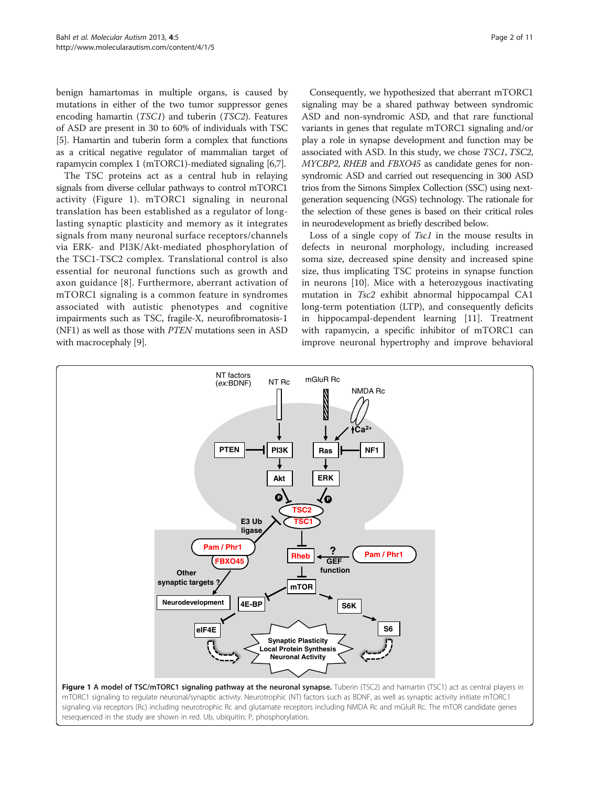benign hamartomas in multiple organs, is caused by mutations in either of the two tumor suppressor genes encoding hamartin (TSC1) and tuberin (TSC2). Features of ASD are present in 30 to 60% of individuals with TSC [[5](#page-9-0)]. Hamartin and tuberin form a complex that functions as a critical negative regulator of mammalian target of rapamycin complex 1 (mTORC1)-mediated signaling [\[6,7\]](#page-9-0).

The TSC proteins act as a central hub in relaying signals from diverse cellular pathways to control mTORC1 activity (Figure 1). mTORC1 signaling in neuronal translation has been established as a regulator of longlasting synaptic plasticity and memory as it integrates signals from many neuronal surface receptors/channels via ERK- and PI3K/Akt-mediated phosphorylation of the TSC1-TSC2 complex. Translational control is also essential for neuronal functions such as growth and axon guidance [[8](#page-9-0)]. Furthermore, aberrant activation of mTORC1 signaling is a common feature in syndromes associated with autistic phenotypes and cognitive impairments such as TSC, fragile-X, neurofibromatosis-1 (NF1) as well as those with PTEN mutations seen in ASD with macrocephaly [\[9\]](#page-9-0).

Consequently, we hypothesized that aberrant mTORC1 signaling may be a shared pathway between syndromic ASD and non-syndromic ASD, and that rare functional variants in genes that regulate mTORC1 signaling and/or play a role in synapse development and function may be associated with ASD. In this study, we chose TSC1, TSC2, MYCBP2, RHEB and FBXO45 as candidate genes for nonsyndromic ASD and carried out resequencing in 300 ASD trios from the Simons Simplex Collection (SSC) using nextgeneration sequencing (NGS) technology. The rationale for the selection of these genes is based on their critical roles in neurodevelopment as briefly described below.

Loss of a single copy of *Tsc1* in the mouse results in defects in neuronal morphology, including increased soma size, decreased spine density and increased spine size, thus implicating TSC proteins in synapse function in neurons [[10\]](#page-9-0). Mice with a heterozygous inactivating mutation in Tsc2 exhibit abnormal hippocampal CA1 long-term potentiation (LTP), and consequently deficits in hippocampal-dependent learning [\[11\]](#page-9-0). Treatment with rapamycin, a specific inhibitor of mTORC1 can improve neuronal hypertrophy and improve behavioral

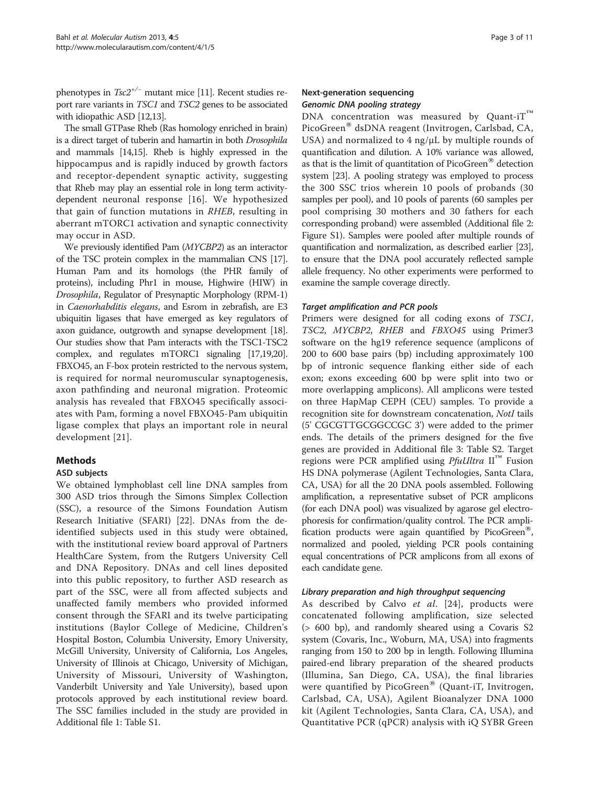phenotypes in  $Tsc2^{+/-}$  mutant mice [\[11\]](#page-9-0). Recent studies report rare variants in TSC1 and TSC2 genes to be associated with idiopathic ASD [\[12,13\]](#page-9-0).

The small GTPase Rheb (Ras homology enriched in brain) is a direct target of tuberin and hamartin in both Drosophila and mammals [[14,15](#page-9-0)]. Rheb is highly expressed in the hippocampus and is rapidly induced by growth factors and receptor-dependent synaptic activity, suggesting that Rheb may play an essential role in long term activitydependent neuronal response [\[16\]](#page-9-0). We hypothesized that gain of function mutations in RHEB, resulting in aberrant mTORC1 activation and synaptic connectivity may occur in ASD.

We previously identified Pam (MYCBP2) as an interactor of the TSC protein complex in the mammalian CNS [\[17](#page-9-0)]. Human Pam and its homologs (the PHR family of proteins), including Phr1 in mouse, Highwire (HIW) in Drosophila, Regulator of Presynaptic Morphology (RPM-1) in Caenorhabditis elegans, and Esrom in zebrafish, are E3 ubiquitin ligases that have emerged as key regulators of axon guidance, outgrowth and synapse development [\[18](#page-9-0)]. Our studies show that Pam interacts with the TSC1-TSC2 complex, and regulates mTORC1 signaling [\[17,19,20](#page-9-0)]. FBXO45, an F-box protein restricted to the nervous system, is required for normal neuromuscular synaptogenesis, axon pathfinding and neuronal migration. Proteomic analysis has revealed that FBXO45 specifically associates with Pam, forming a novel FBXO45-Pam ubiquitin ligase complex that plays an important role in neural development [\[21\]](#page-10-0).

# Methods

# ASD subjects

We obtained lymphoblast cell line DNA samples from 300 ASD trios through the Simons Simplex Collection (SSC), a resource of the Simons Foundation Autism Research Initiative (SFARI) [\[22](#page-10-0)]. DNAs from the deidentified subjects used in this study were obtained, with the institutional review board approval of Partners HealthCare System, from the Rutgers University Cell and DNA Repository. DNAs and cell lines deposited into this public repository, to further ASD research as part of the SSC, were all from affected subjects and unaffected family members who provided informed consent through the SFARI and its twelve participating institutions (Baylor College of Medicine, Children's Hospital Boston, Columbia University, Emory University, McGill University, University of California, Los Angeles, University of Illinois at Chicago, University of Michigan, University of Missouri, University of Washington, Vanderbilt University and Yale University), based upon protocols approved by each institutional review board. The SSC families included in the study are provided in Additional file [1](#page-9-0): Table S1.

# Next-generation sequencing Genomic DNA pooling strategy

DNA concentration was measured by Quant-i $T^m$ PicoGreen<sup>®</sup> dsDNA reagent (Invitrogen, Carlsbad, CA, USA) and normalized to 4 ng/μL by multiple rounds of quantification and dilution. A 10% variance was allowed, as that is the limit of quantitation of PicoGreen<sup>®</sup> detection system [[23](#page-10-0)]. A pooling strategy was employed to process the 300 SSC trios wherein 10 pools of probands (30 samples per pool), and 10 pools of parents (60 samples per pool comprising 30 mothers and 30 fathers for each corresponding proband) were assembled (Additional file [2](#page-9-0): Figure S1). Samples were pooled after multiple rounds of quantification and normalization, as described earlier [\[23](#page-10-0)], to ensure that the DNA pool accurately reflected sample allele frequency. No other experiments were performed to examine the sample coverage directly.

# Target amplification and PCR pools

Primers were designed for all coding exons of TSC1, TSC2, MYCBP2, RHEB and FBXO45 using Primer3 software on the hg19 reference sequence (amplicons of 200 to 600 base pairs (bp) including approximately 100 bp of intronic sequence flanking either side of each exon; exons exceeding 600 bp were split into two or more overlapping amplicons). All amplicons were tested on three HapMap CEPH (CEU) samples. To provide a recognition site for downstream concatenation, NotI tails (5' CGCGTTGCGGCCGC 3') were added to the primer ends. The details of the primers designed for the five genes are provided in Additional file [3:](#page-9-0) Table S2. Target regions were PCR amplified using *PfuUltra*  $II<sup>TM</sup>$  Fusion HS DNA polymerase (Agilent Technologies, Santa Clara, CA, USA) for all the 20 DNA pools assembled. Following amplification, a representative subset of PCR amplicons (for each DNA pool) was visualized by agarose gel electrophoresis for confirmation/quality control. The PCR amplification products were again quantified by PicoGreen<sup>®</sup>, normalized and pooled, yielding PCR pools containing equal concentrations of PCR amplicons from all exons of each candidate gene.

# Library preparation and high throughput sequencing

As described by Calvo et al. [[24](#page-10-0)], products were concatenated following amplification, size selected (> 600 bp), and randomly sheared using a Covaris S2 system (Covaris, Inc., Woburn, MA, USA) into fragments ranging from 150 to 200 bp in length. Following Illumina paired-end library preparation of the sheared products (Illumina, San Diego, CA, USA), the final libraries were quantified by PicoGreen<sup>®</sup> (Quant-iT, Invitrogen, Carlsbad, CA, USA), Agilent Bioanalyzer DNA 1000 kit (Agilent Technologies, Santa Clara, CA, USA), and Quantitative PCR (qPCR) analysis with iQ SYBR Green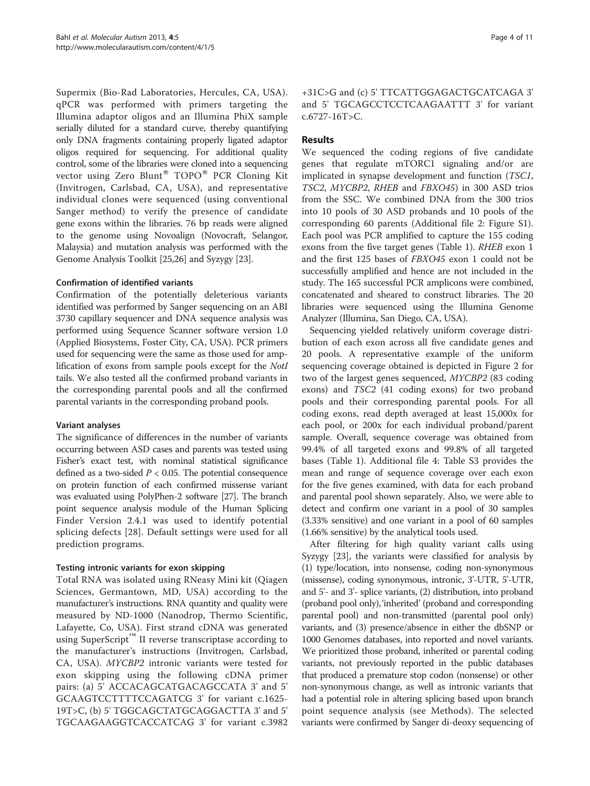Supermix (Bio-Rad Laboratories, Hercules, CA, USA). qPCR was performed with primers targeting the Illumina adaptor oligos and an Illumina PhiX sample serially diluted for a standard curve, thereby quantifying only DNA fragments containing properly ligated adaptor oligos required for sequencing. For additional quality control, some of the libraries were cloned into a sequencing vector using Zero Blunt<sup>®</sup> TOPO<sup>®</sup> PCR Cloning Kit (Invitrogen, Carlsbad, CA, USA), and representative individual clones were sequenced (using conventional Sanger method) to verify the presence of candidate gene exons within the libraries. 76 bp reads were aligned to the genome using Novoalign (Novocraft, Selangor, Malaysia) and mutation analysis was performed with the Genome Analysis Toolkit [\[25,26](#page-10-0)] and Syzygy [\[23\]](#page-10-0).

#### Confirmation of identified variants

Confirmation of the potentially deleterious variants identified was performed by Sanger sequencing on an ABI 3730 capillary sequencer and DNA sequence analysis was performed using Sequence Scanner software version 1.0 (Applied Biosystems, Foster City, CA, USA). PCR primers used for sequencing were the same as those used for amplification of exons from sample pools except for the NotI tails. We also tested all the confirmed proband variants in the corresponding parental pools and all the confirmed parental variants in the corresponding proband pools.

#### Variant analyses

The significance of differences in the number of variants occurring between ASD cases and parents was tested using Fisher's exact test, with nominal statistical significance defined as a two-sided  $P < 0.05$ . The potential consequence on protein function of each confirmed missense variant was evaluated using PolyPhen-2 software [\[27\]](#page-10-0). The branch point sequence analysis module of the Human Splicing Finder Version 2.4.1 was used to identify potential splicing defects [[28](#page-10-0)]. Default settings were used for all prediction programs.

# Testing intronic variants for exon skipping

Total RNA was isolated using RNeasy Mini kit (Qiagen Sciences, Germantown, MD, USA) according to the manufacturer's instructions. RNA quantity and quality were measured by ND-1000 (Nanodrop, Thermo Scientific, Lafayette, Co, USA). First strand cDNA was generated using SuperScript<sup>™</sup> II reverse transcriptase according to the manufacturer's instructions (Invitrogen, Carlsbad, CA, USA). MYCBP2 intronic variants were tested for exon skipping using the following cDNA primer pairs: (a) 5' ACCACAGCATGACAGCCATA 3' and 5' GCAAGTCCTTTTCCAGATCG 3' for variant c.1625- 19T>C, (b) 5' TGGCAGCTATGCAGGACTTA 3' and 5' TGCAAGAAGGTCACCATCAG 3' for variant c.3982

+31C>G and (c) 5' TTCATTGGAGACTGCATCAGA 3' and 5' TGCAGCCTCCTCAAGAATTT 3' for variant c.6727-16T>C.

# Results

We sequenced the coding regions of five candidate genes that regulate mTORC1 signaling and/or are implicated in synapse development and function (TSC1, TSC2, MYCBP2, RHEB and FBXO45) in 300 ASD trios from the SSC. We combined DNA from the 300 trios into 10 pools of 30 ASD probands and 10 pools of the corresponding 60 parents (Additional file [2](#page-9-0): Figure S1). Each pool was PCR amplified to capture the 155 coding exons from the five target genes (Table [1](#page-4-0)). RHEB exon 1 and the first 125 bases of FBXO45 exon 1 could not be successfully amplified and hence are not included in the study. The 165 successful PCR amplicons were combined, concatenated and sheared to construct libraries. The 20 libraries were sequenced using the Illumina Genome Analyzer (Illumina, San Diego, CA, USA).

Sequencing yielded relatively uniform coverage distribution of each exon across all five candidate genes and 20 pools. A representative example of the uniform sequencing coverage obtained is depicted in Figure [2](#page-4-0) for two of the largest genes sequenced, MYCBP2 (83 coding exons) and TSC2 (41 coding exons) for two proband pools and their corresponding parental pools. For all coding exons, read depth averaged at least 15,000x for each pool, or 200x for each individual proband/parent sample. Overall, sequence coverage was obtained from 99.4% of all targeted exons and 99.8% of all targeted bases (Table [1](#page-4-0)). Additional file [4:](#page-9-0) Table S3 provides the mean and range of sequence coverage over each exon for the five genes examined, with data for each proband and parental pool shown separately. Also, we were able to detect and confirm one variant in a pool of 30 samples (3.33% sensitive) and one variant in a pool of 60 samples (1.66% sensitive) by the analytical tools used.

After filtering for high quality variant calls using Syzygy [\[23](#page-10-0)], the variants were classified for analysis by (1) type/location, into nonsense, coding non-synonymous (missense), coding synonymous, intronic, 3'-UTR, 5'-UTR, and 5'- and 3'- splice variants, (2) distribution, into proband (proband pool only),'inherited' (proband and corresponding parental pool) and non-transmitted (parental pool only) variants, and (3) presence/absence in either the dbSNP or 1000 Genomes databases, into reported and novel variants. We prioritized those proband, inherited or parental coding variants, not previously reported in the public databases that produced a premature stop codon (nonsense) or other non-synonymous change, as well as intronic variants that had a potential role in altering splicing based upon branch point sequence analysis (see Methods). The selected variants were confirmed by Sanger di-deoxy sequencing of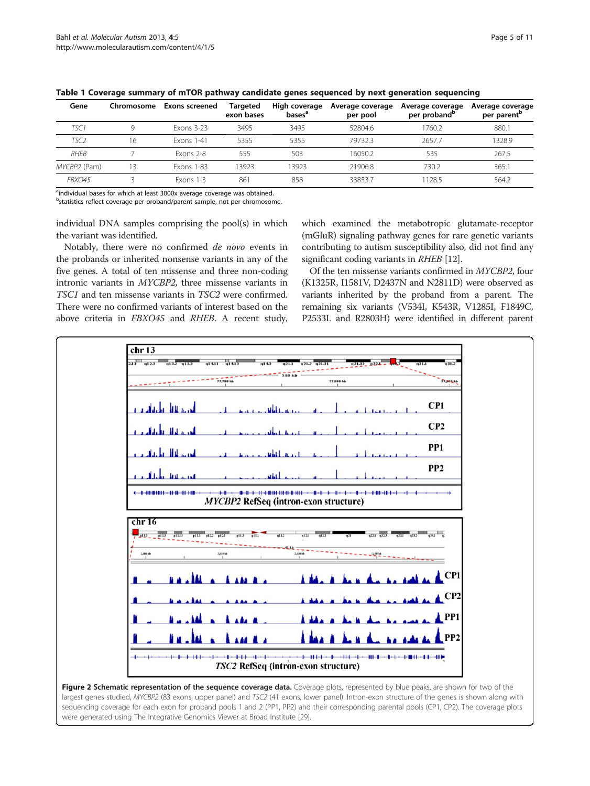| Gene             | Chromosome | Exons screened    | <b>Targeted</b><br>exon bases | High coverage<br>bases <sup>a</sup> | Average coverage<br>per pool | Average coverage<br>per proband <sup>b</sup> | Average coverage<br>per parent <sup>p</sup> |
|------------------|------------|-------------------|-------------------------------|-------------------------------------|------------------------------|----------------------------------------------|---------------------------------------------|
| TSC 1            |            | <b>Exons 3-23</b> | 3495                          | 3495                                | 52804.6                      | 760.2                                        | 880.1                                       |
| TSC <sub>2</sub> | 16         | <b>Exons 1-41</b> | 5355                          | 5355                                | 79732.3                      | 2657.7                                       | 1328.9                                      |
| <b>RHFB</b>      |            | Exons 2-8         | 555                           | 503                                 | 16050.2                      | 535                                          | 267.5                                       |
| MYCBP2 (Pam)     | 13         | <b>Exons 1-83</b> | 13923                         | 13923                               | 21906.8                      | 730.2                                        | 365.1                                       |
| FBXO45           |            | $Exons$ 1-3       | 861                           | 858                                 | 33853.7                      | 1128.5                                       | 564.2                                       |

<span id="page-4-0"></span>Table 1 Coverage summary of mTOR pathway candidate genes sequenced by next generation sequencing

<sup>a</sup>individual bases for which at least 3000x average coverage was obtained.

<sup>b</sup>statistics reflect coverage per proband/parent sample, not per chromosome.

individual DNA samples comprising the pool(s) in which the variant was identified.

Notably, there were no confirmed de novo events in the probands or inherited nonsense variants in any of the five genes. A total of ten missense and three non-coding intronic variants in MYCBP2, three missense variants in TSC1 and ten missense variants in TSC2 were confirmed. There were no confirmed variants of interest based on the above criteria in FBXO45 and RHEB. A recent study,

which examined the metabotropic glutamate-receptor (mGluR) signaling pathway genes for rare genetic variants contributing to autism susceptibility also, did not find any significant coding variants in RHEB [\[12\]](#page-9-0).

Of the ten missense variants confirmed in MYCBP2, four (K1325R, I1581V, D2437N and N2811D) were observed as variants inherited by the proband from a parent. The remaining six variants (V534I, K543R, V1285I, F1849C, P2533L and R2803H) were identified in different parent



Figure 2 Schematic representation of the sequence coverage data. Coverage plots, represented by blue peaks, are shown for two of the largest genes studied, MYCBP2 (83 exons, upper panel) and TSC2 (41 exons, lower panel). Intron-exon structure of the genes is shown along with sequencing coverage for each exon for proband pools 1 and 2 (PP1, PP2) and their corresponding parental pools (CP1, CP2). The coverage plots were generated using The Integrative Genomics Viewer at Broad Institute [\[29\]](#page-10-0).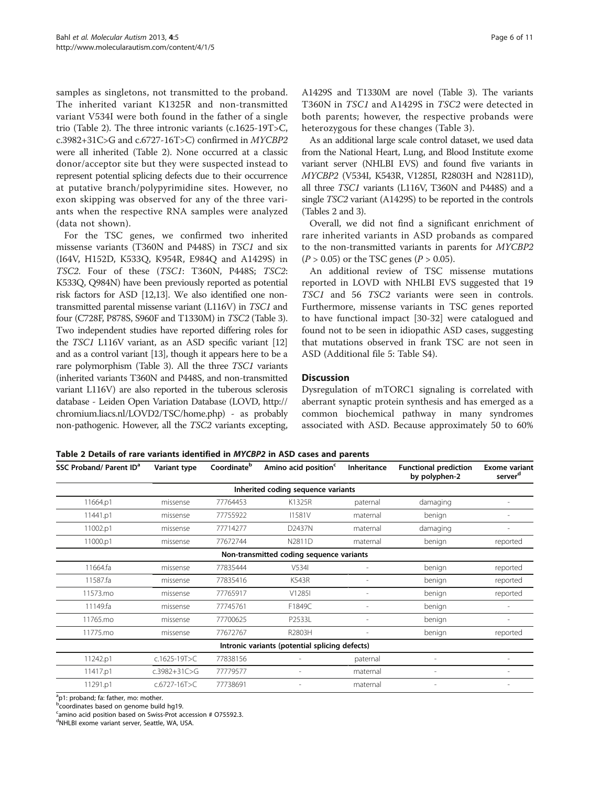samples as singletons, not transmitted to the proband. The inherited variant K1325R and non-transmitted variant V534I were both found in the father of a single trio (Table 2). The three intronic variants (c.1625-19T>C, c.3982+31C>G and c.6727-16T>C) confirmed in MYCBP2 were all inherited (Table 2). None occurred at a classic donor/acceptor site but they were suspected instead to represent potential splicing defects due to their occurrence at putative branch/polypyrimidine sites. However, no exon skipping was observed for any of the three variants when the respective RNA samples were analyzed (data not shown).

For the TSC genes, we confirmed two inherited missense variants (T360N and P448S) in TSC1 and six (I64V, H152D, K533Q, K954R, E984Q and A1429S) in TSC2. Four of these (TSC1: T360N, P448S; TSC2: K533Q, Q984N) have been previously reported as potential risk factors for ASD [[12,13\]](#page-9-0). We also identified one nontransmitted parental missense variant (L116V) in TSC1 and four (C728F, P878S, S960F and T1330M) in TSC2 (Table [3](#page-6-0)). Two independent studies have reported differing roles for the TSC1 L116V variant, as an ASD specific variant [\[12](#page-9-0)] and as a control variant [\[13\]](#page-9-0), though it appears here to be a rare polymorphism (Table [3\)](#page-6-0). All the three TSC1 variants (inherited variants T360N and P448S, and non-transmitted variant L116V) are also reported in the tuberous sclerosis database - Leiden Open Variation Database (LOVD, [http://](http://chromium.liacs.nl/LOVD2/TSC/home.php) [chromium.liacs.nl/LOVD2/TSC/home.php](http://chromium.liacs.nl/LOVD2/TSC/home.php)) - as probably non-pathogenic. However, all the TSC2 variants excepting,

A1429S and T1330M are novel (Table [3\)](#page-6-0). The variants T360N in TSC1 and A1429S in TSC2 were detected in both parents; however, the respective probands were heterozygous for these changes (Table [3\)](#page-6-0).

As an additional large scale control dataset, we used data from the National Heart, Lung, and Blood Institute exome variant server (NHLBI EVS) and found five variants in MYCBP2 (V534I, K543R, V1285I, R2803H and N2811D), all three TSC1 variants (L116V, T360N and P448S) and a single TSC2 variant (A1429S) to be reported in the controls (Tables 2 and [3](#page-6-0)).

Overall, we did not find a significant enrichment of rare inherited variants in ASD probands as compared to the non-transmitted variants in parents for MYCBP2  $(P > 0.05)$  or the TSC genes  $(P > 0.05)$ .

An additional review of TSC missense mutations reported in LOVD with NHLBI EVS suggested that 19 TSC1 and 56 TSC2 variants were seen in controls. Furthermore, missense variants in TSC genes reported to have functional impact [\[30-32](#page-10-0)] were catalogued and found not to be seen in idiopathic ASD cases, suggesting that mutations observed in frank TSC are not seen in ASD (Additional file [5](#page-9-0): Table S4).

# **Discussion**

Dysregulation of mTORC1 signaling is correlated with aberrant synaptic protein synthesis and has emerged as a common biochemical pathway in many syndromes associated with ASD. Because approximately 50 to 60%

|  | Table 2 Details of rare variants identified in MYCBP2 in ASD cases and parents |  |  |
|--|--------------------------------------------------------------------------------|--|--|
|--|--------------------------------------------------------------------------------|--|--|

| SSC Proband/ Parent ID <sup>a</sup>            | Variant type       | Coordinate <sup>b</sup> | Amino acid position <sup>c</sup>   | Inheritance              | <b>Functional prediction</b><br>by polyphen-2 | <b>Exome variant</b><br>server <sup>d</sup> |  |  |  |
|------------------------------------------------|--------------------|-------------------------|------------------------------------|--------------------------|-----------------------------------------------|---------------------------------------------|--|--|--|
|                                                |                    |                         | Inherited coding sequence variants |                          |                                               |                                             |  |  |  |
| 11664.p1                                       | missense           | 77764453                | K1325R                             | paternal                 | damaging                                      |                                             |  |  |  |
| 11441.p1                                       | missense           | 77755922                | <b>I1581V</b>                      | maternal                 | benign                                        |                                             |  |  |  |
| 11002.p1                                       | missense           | 77714277                | D2437N                             | maternal                 | damaging                                      |                                             |  |  |  |
| 11000.p1                                       | missense           | 77672744                | N2811D                             | maternal                 | benign                                        | reported                                    |  |  |  |
| Non-transmitted coding sequence variants       |                    |                         |                                    |                          |                                               |                                             |  |  |  |
| 11664.fa                                       | missense           | 77835444                | V534I                              |                          | benign                                        | reported                                    |  |  |  |
| 11587.fa                                       | missense           | 77835416                | <b>K543R</b>                       | ٠                        | benign                                        | reported                                    |  |  |  |
| 11573.mo                                       | missense           | 77765917                | V1285I                             | $\overline{\phantom{a}}$ | benign                                        | reported                                    |  |  |  |
| 11149.fa                                       | missense           | 77745761                | F1849C                             |                          | benign                                        |                                             |  |  |  |
| 11765.mo                                       | missense           | 77700625                | P2533L                             |                          | benign                                        |                                             |  |  |  |
| 11775.mo                                       | missense           | 77672767                | R2803H                             |                          | benign                                        | reported                                    |  |  |  |
| Intronic variants (potential splicing defects) |                    |                         |                                    |                          |                                               |                                             |  |  |  |
| 11242.p1                                       | $c.1625 - 19T > C$ | 77838156                |                                    | paternal                 |                                               |                                             |  |  |  |
| 11417.p1                                       | $c.3982 + 31C > G$ | 77779577                |                                    | maternal                 | $\overline{a}$                                |                                             |  |  |  |
| 11291.p1                                       | $c.6727 - 16T > C$ | 77738691                |                                    | maternal                 | $\overline{a}$                                |                                             |  |  |  |

<sup>a</sup>p1: proband; fa: father, mo: mother.

<sup>b</sup>coordinates based on genome build hg19.

<sup>c</sup>amino acid position based on Swiss-Prot accession # 075592.3.

d NHLBI exome variant server, Seattle, WA, USA.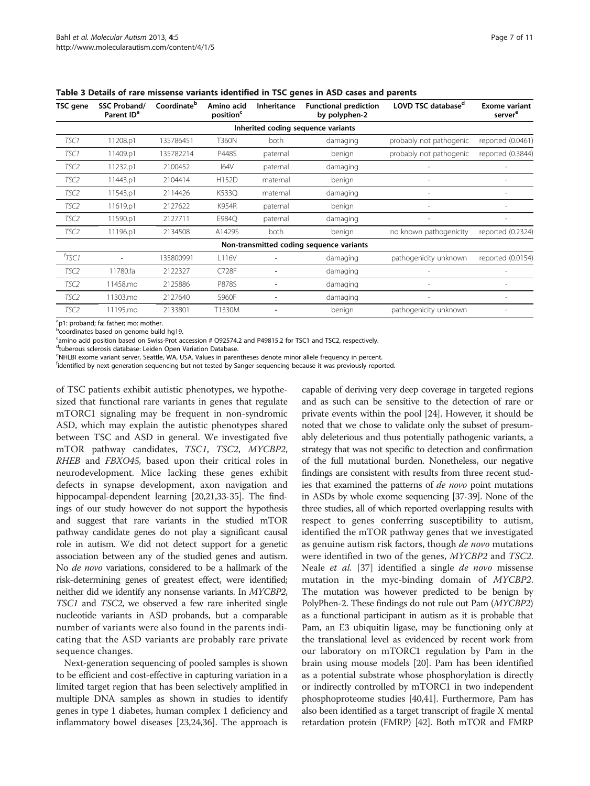| TSC gene                                 | SSC Proband/<br>Parent ID <sup>a</sup> | Coordinate <sup>b</sup> | Amino acid<br>position <sup>c</sup> | <b>Inheritance</b> | <b>Functional prediction</b><br>by polyphen-2 | LOVD TSC database <sup>d</sup> | <b>Exome variant</b><br>server <sup>e</sup> |  |  |  |
|------------------------------------------|----------------------------------------|-------------------------|-------------------------------------|--------------------|-----------------------------------------------|--------------------------------|---------------------------------------------|--|--|--|
|                                          | Inherited coding sequence variants     |                         |                                     |                    |                                               |                                |                                             |  |  |  |
| TSC1                                     | 11208.p1                               | 135786451               | <b>T360N</b>                        | both               | damaging                                      | probably not pathogenic        | reported (0.0461)                           |  |  |  |
| TSC1                                     | 11409.p1                               | 135782214               | P448S                               | paternal           | benign                                        | probably not pathogenic        | reported (0.3844)                           |  |  |  |
| TSC <sub>2</sub>                         | 11232.p1                               | 2100452                 | 164V                                | paternal           | damaging                                      |                                |                                             |  |  |  |
| TSC <sub>2</sub>                         | 11443.p1                               | 2104414                 | H152D                               | maternal           | benign                                        |                                |                                             |  |  |  |
| TSC2                                     | 11543.p1                               | 2114426                 | K533Q                               | maternal           | damaging                                      |                                |                                             |  |  |  |
| TSC <sub>2</sub>                         | 11619.p1                               | 2127622                 | K954R                               | paternal           | benign                                        |                                |                                             |  |  |  |
| TSC <sub>2</sub>                         | 11590.p1                               | 2127711                 | E984Q                               | paternal           | damaging                                      | $\qquad \qquad$                | $\overline{a}$                              |  |  |  |
| TSC <sub>2</sub>                         | 11196.p1                               | 2134508                 | A1429S                              | both               | benign                                        | no known pathogenicity         | reported (0.2324)                           |  |  |  |
| Non-transmitted coding sequence variants |                                        |                         |                                     |                    |                                               |                                |                                             |  |  |  |
| TSC1                                     |                                        | 135800991               | L116V                               |                    | damaging                                      | pathogenicity unknown          | reported (0.0154)                           |  |  |  |
| TSC <sub>2</sub>                         | 11780.fa                               | 2122327                 | C728F                               |                    | damaging                                      |                                |                                             |  |  |  |
| TSC <sub>2</sub>                         | 11458.mo                               | 2125886                 | P878S                               | $\overline{a}$     | damaging                                      | $\overline{\phantom{a}}$       |                                             |  |  |  |
| TSC <sub>2</sub>                         | 11303.mo                               | 2127640                 | S960F                               |                    | damaging                                      |                                |                                             |  |  |  |
| TSC <sub>2</sub>                         | 11195.mo                               | 2133801                 | T1330M                              |                    | benign                                        | pathogenicity unknown          |                                             |  |  |  |

<span id="page-6-0"></span>Table 3 Details of rare missense variants identified in TSC genes in ASD cases and parents

<sup>a</sup>p1: proband; fa: father; mo: mother.

**b**coordinates based on genome build hg19.

<sup>c</sup>amino acid position based on Swiss-Prot accession # Q92574.2 and P49815.2 for TSC1 and TSC2, respectively.

<sup>d</sup>tuberous sclerosis database: Leiden Open Variation Database.

e NHLBI exome variant server, Seattle, WA, USA. Values in parentheses denote minor allele frequency in percent.

f identified by next-generation sequencing but not tested by Sanger sequencing because it was previously reported.

of TSC patients exhibit autistic phenotypes, we hypothesized that functional rare variants in genes that regulate mTORC1 signaling may be frequent in non-syndromic ASD, which may explain the autistic phenotypes shared between TSC and ASD in general. We investigated five mTOR pathway candidates, TSC1, TSC2, MYCBP2, RHEB and FBXO45, based upon their critical roles in neurodevelopment. Mice lacking these genes exhibit defects in synapse development, axon navigation and hippocampal-dependent learning [\[20,](#page-9-0)[21,33](#page-10-0)-[35](#page-10-0)]. The findings of our study however do not support the hypothesis and suggest that rare variants in the studied mTOR pathway candidate genes do not play a significant causal role in autism. We did not detect support for a genetic association between any of the studied genes and autism. No de novo variations, considered to be a hallmark of the risk-determining genes of greatest effect, were identified; neither did we identify any nonsense variants. In MYCBP2, TSC1 and TSC2, we observed a few rare inherited single nucleotide variants in ASD probands, but a comparable number of variants were also found in the parents indicating that the ASD variants are probably rare private sequence changes.

Next-generation sequencing of pooled samples is shown to be efficient and cost-effective in capturing variation in a limited target region that has been selectively amplified in multiple DNA samples as shown in studies to identify genes in type 1 diabetes, human complex 1 deficiency and inflammatory bowel diseases [\[23,24,36](#page-10-0)]. The approach is capable of deriving very deep coverage in targeted regions and as such can be sensitive to the detection of rare or private events within the pool [[24\]](#page-10-0). However, it should be noted that we chose to validate only the subset of presumably deleterious and thus potentially pathogenic variants, a strategy that was not specific to detection and confirmation of the full mutational burden. Nonetheless, our negative findings are consistent with results from three recent studies that examined the patterns of de novo point mutations in ASDs by whole exome sequencing [[37-39\]](#page-10-0). None of the three studies, all of which reported overlapping results with respect to genes conferring susceptibility to autism, identified the mTOR pathway genes that we investigated as genuine autism risk factors, though de novo mutations were identified in two of the genes, MYCBP2 and TSC2. Neale et al. [[37\]](#page-10-0) identified a single de novo missense mutation in the myc-binding domain of MYCBP2. The mutation was however predicted to be benign by PolyPhen-2. These findings do not rule out Pam (MYCBP2) as a functional participant in autism as it is probable that Pam, an E3 ubiquitin ligase, may be functioning only at the translational level as evidenced by recent work from our laboratory on mTORC1 regulation by Pam in the brain using mouse models [\[20](#page-9-0)]. Pam has been identified as a potential substrate whose phosphorylation is directly or indirectly controlled by mTORC1 in two independent phosphoproteome studies [\[40,41](#page-10-0)]. Furthermore, Pam has also been identified as a target transcript of fragile X mental retardation protein (FMRP) [\[42](#page-10-0)]. Both mTOR and FMRP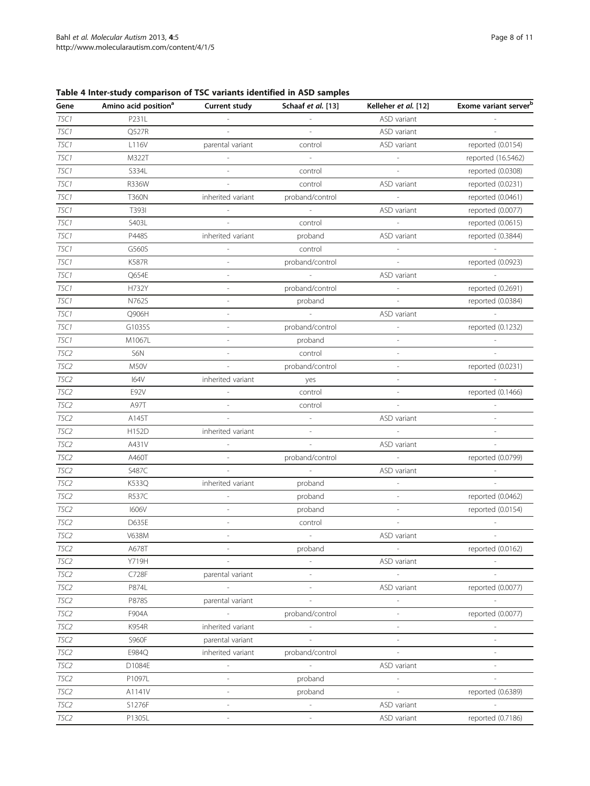<span id="page-7-0"></span>Table 4 Inter-study comparison of TSC variants identified in ASD samples

| Gene             | Amino acid position <sup>a</sup> | <b>Current study</b>     | Schaaf et al. [13]       | Kelleher et al. [12]        | Exome variant server <sup>b</sup> |
|------------------|----------------------------------|--------------------------|--------------------------|-----------------------------|-----------------------------------|
| TSC1             | P231L                            |                          |                          | ASD variant                 |                                   |
| TSC1             | Q527R                            | ÷                        | $\sim$                   | ASD variant                 |                                   |
| TSC1             | L116V                            | parental variant         | control                  | ASD variant                 | reported (0.0154)                 |
| TSC1             | M322T                            |                          | $\mathcal{L}$            |                             | reported (16.5462)                |
| TSC1             | S334L                            | $\sim$                   | control                  | $\mathcal{L}$               | reported (0.0308)                 |
| TSC1             | R336W                            | $\sim$                   | control                  | ASD variant                 | reported (0.0231)                 |
| TSC1             | <b>T360N</b>                     | inherited variant        | proband/control          | $\mathcal{L}^{\mathcal{A}}$ | reported (0.0461)                 |
| TSC1             | T3931                            |                          | $\sim$                   | ASD variant                 | reported (0.0077)                 |
| TSC1             | S403L                            |                          | control                  |                             | reported (0.0615)                 |
| TSC1             | P448S                            | inherited variant        | proband                  | ASD variant                 | reported (0.3844)                 |
| TSC1             | G560S                            | $\overline{\phantom{a}}$ | control                  | $\overline{\phantom{a}}$    |                                   |
| TSC1             | <b>K587R</b>                     |                          | proband/control          | $\mathcal{L}$               | reported (0.0923)                 |
| TSC1             | Q654E                            |                          | $\sim$                   | ASD variant                 | i.                                |
| TSC1             | H732Y                            | ÷,                       | proband/control          |                             | reported (0.2691)                 |
| TSC1             | N762S                            | ÷,                       | proband                  | $\sim$                      | reported (0.0384)                 |
| TSC1             | Q906H                            | $\overline{\phantom{a}}$ | $\overline{\phantom{a}}$ | ASD variant                 | $\sim$                            |
| TSC1             | G1035S                           | Ĭ.                       | proband/control          | $\overline{\phantom{a}}$    | reported (0.1232)                 |
| TSC1             | M1067L                           |                          | proband                  |                             |                                   |
| TSC <sub>2</sub> | S6N                              |                          | control                  | $\overline{\phantom{a}}$    |                                   |
| TSC2             | M50V                             |                          | proband/control          |                             | reported (0.0231)                 |
| TSC2             | <b>I64V</b>                      | inherited variant        | yes                      | $\bar{a}$                   |                                   |
| TSC2             | E92V                             |                          | control                  |                             | reported (0.1466)                 |
| TSC2             | A97T                             | $\sim$                   | control                  | $\sim$                      |                                   |
| TSC <sub>2</sub> | A145T                            | $\overline{\phantom{a}}$ |                          | ASD variant                 |                                   |
| TSC2             | H152D                            | inherited variant        |                          |                             |                                   |
| TSC2             | A431V                            | $\overline{\phantom{a}}$ | $\overline{\phantom{a}}$ | ASD variant                 | $\overline{\phantom{a}}$          |
| TSC2             | A460T                            | $\sim$                   | proband/control          | $\sim$                      | reported (0.0799)                 |
| TSC2             | S487C                            | $\sim$                   | $\mathcal{L}$            | ASD variant                 |                                   |
| TSC2             | K533Q                            | inherited variant        | proband                  |                             |                                   |
| TSC2             | R537C                            |                          | proband                  | $\sim$                      | reported (0.0462)                 |
| TSC2             | <b>1606V</b>                     | ÷,                       | proband                  | $\sim$                      | reported (0.0154)                 |
| TSC2             | D635E                            |                          | control                  | $\sim$                      |                                   |
| TSC2             | V638M                            | $\overline{\phantom{m}}$ | $\sim$                   | ASD variant                 |                                   |
| TSC2             | A678T                            |                          | proband                  |                             | reported (0.0162)                 |
| TSC2             | Y719H                            |                          |                          | ASD variant                 |                                   |
| TSC2             | C728F                            | parental variant         |                          |                             |                                   |
| TSC2             | P874L                            | $\overline{\phantom{a}}$ | $\overline{\phantom{a}}$ | ASD variant                 | reported (0.0077)                 |
| TSC2             | P878S                            | parental variant         |                          |                             |                                   |
| TSC2             | F904A                            | $\mathcal{L}$            | proband/control          |                             | reported (0.0077)                 |
| TSC2             | K954R                            | inherited variant        |                          |                             |                                   |
| TSC2             | S960F                            | parental variant         |                          | L,                          |                                   |
| TSC2             | E984Q                            | inherited variant        | proband/control          | $\overline{\phantom{a}}$    |                                   |
| TSC2             | D1084E                           | $\overline{\phantom{a}}$ | $\overline{\phantom{a}}$ | ASD variant                 |                                   |
| TSC2             | P1097L                           |                          | proband                  | $\mathbb{L}$                |                                   |
| TSC2             | A1141V                           | $\overline{\phantom{m}}$ | proband                  |                             | reported (0.6389)                 |
| TSC2             | S1276F                           |                          | $\bar{\phantom{a}}$      | ASD variant                 |                                   |
| TSC2             | P1305L                           | $\overline{\phantom{a}}$ | $\overline{\phantom{a}}$ | ASD variant                 | reported (0.7186)                 |
|                  |                                  |                          |                          |                             |                                   |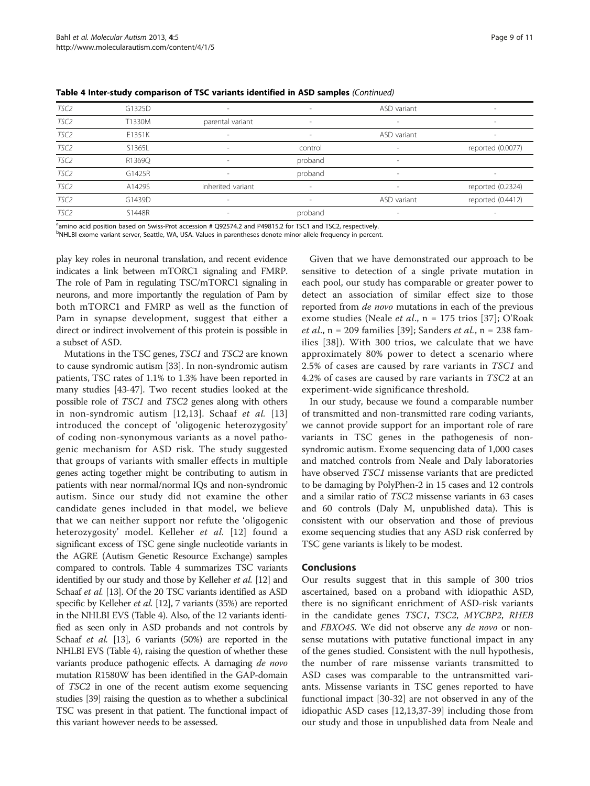| TSC2             | G1325D | ۰                 | $\overline{\phantom{a}}$ | ASD variant              | $\sim$                   |
|------------------|--------|-------------------|--------------------------|--------------------------|--------------------------|
| TSC <sub>2</sub> | T1330M | parental variant  | $\overline{\phantom{a}}$ | $\overline{\phantom{a}}$ | $\overline{\phantom{a}}$ |
| TSC2             | E1351K | ۰                 | $\overline{\phantom{a}}$ | ASD variant              | $\overline{\phantom{a}}$ |
| TSC <sub>2</sub> | S1365L | ۰                 | control                  | $\overline{\phantom{a}}$ | reported (0.0077)        |
| TSC <sub>2</sub> | R1369Q | ۰                 | proband                  | $\overline{\phantom{a}}$ |                          |
| TSC <sub>2</sub> | G1425R | ۰                 | proband                  | $\overline{\phantom{a}}$ | $\sim$                   |
| TSC <sub>2</sub> | A1429S | inherited variant | $\overline{\phantom{a}}$ | $\overline{\phantom{a}}$ | reported (0.2324)        |
| TSC <sub>2</sub> | G1439D | ۰                 | $\overline{\phantom{a}}$ | ASD variant              | reported (0.4412)        |
| TSC <sub>2</sub> | S1448R |                   | proband                  | $\overline{\phantom{a}}$ |                          |

Table 4 Inter-study comparison of TSC variants identified in ASD samples (Continued)

<sup>a</sup>amino acid position based on Swiss-Prot accession # Q92574.2 and P49815.2 for TSC1 and TSC2, respectively.

b NHLBI exome variant server, Seattle, WA, USA. Values in parentheses denote minor allele frequency in percent.

play key roles in neuronal translation, and recent evidence indicates a link between mTORC1 signaling and FMRP. The role of Pam in regulating TSC/mTORC1 signaling in neurons, and more importantly the regulation of Pam by both mTORC1 and FMRP as well as the function of Pam in synapse development, suggest that either a direct or indirect involvement of this protein is possible in a subset of ASD.

Mutations in the TSC genes, TSC1 and TSC2 are known to cause syndromic autism [\[33\]](#page-10-0). In non-syndromic autism patients, TSC rates of 1.1% to 1.3% have been reported in many studies [\[43-47\]](#page-10-0). Two recent studies looked at the possible role of TSC1 and TSC2 genes along with others in non-syndromic autism  $[12,13]$  $[12,13]$ . Schaaf et al.  $[13]$  $[13]$  $[13]$ introduced the concept of 'oligogenic heterozygosity' of coding non-synonymous variants as a novel pathogenic mechanism for ASD risk. The study suggested that groups of variants with smaller effects in multiple genes acting together might be contributing to autism in patients with near normal/normal IQs and non-syndromic autism. Since our study did not examine the other candidate genes included in that model, we believe that we can neither support nor refute the 'oligogenic heterozygosity' model. Kelleher et al. [[12\]](#page-9-0) found a significant excess of TSC gene single nucleotide variants in the AGRE (Autism Genetic Resource Exchange) samples compared to controls. Table [4](#page-7-0) summarizes TSC variants identified by our study and those by Kelleher et al. [[12](#page-9-0)] and Schaaf et al. [\[13\]](#page-9-0). Of the 20 TSC variants identified as ASD specific by Kelleher *et al.* [\[12](#page-9-0)], 7 variants (35%) are reported in the NHLBI EVS (Table [4](#page-7-0)). Also, of the 12 variants identified as seen only in ASD probands and not controls by Schaaf et al. [\[13\]](#page-9-0), 6 variants (50%) are reported in the NHLBI EVS (Table [4\)](#page-7-0), raising the question of whether these variants produce pathogenic effects. A damaging de novo mutation R1580W has been identified in the GAP-domain of TSC2 in one of the recent autism exome sequencing studies [[39\]](#page-10-0) raising the question as to whether a subclinical TSC was present in that patient. The functional impact of this variant however needs to be assessed.

Given that we have demonstrated our approach to be sensitive to detection of a single private mutation in each pool, our study has comparable or greater power to detect an association of similar effect size to those reported from de novo mutations in each of the previous exome studies (Neale et al., n = 175 trios [[37\]](#page-10-0); O'Roak *et al.*,  $n = 209$  families [[39](#page-10-0)]; Sanders *et al.*,  $n = 238$  families [\[38](#page-10-0)]). With 300 trios, we calculate that we have approximately 80% power to detect a scenario where 2.5% of cases are caused by rare variants in TSC1 and 4.2% of cases are caused by rare variants in TSC2 at an experiment-wide significance threshold.

In our study, because we found a comparable number of transmitted and non-transmitted rare coding variants, we cannot provide support for an important role of rare variants in TSC genes in the pathogenesis of nonsyndromic autism. Exome sequencing data of 1,000 cases and matched controls from Neale and Daly laboratories have observed TSC1 missense variants that are predicted to be damaging by PolyPhen-2 in 15 cases and 12 controls and a similar ratio of TSC2 missense variants in 63 cases and 60 controls (Daly M, unpublished data). This is consistent with our observation and those of previous exome sequencing studies that any ASD risk conferred by TSC gene variants is likely to be modest.

#### Conclusions

Our results suggest that in this sample of 300 trios ascertained, based on a proband with idiopathic ASD, there is no significant enrichment of ASD-risk variants in the candidate genes TSC1, TSC2, MYCBP2, RHEB and FBXO45. We did not observe any *de novo* or nonsense mutations with putative functional impact in any of the genes studied. Consistent with the null hypothesis, the number of rare missense variants transmitted to ASD cases was comparable to the untransmitted variants. Missense variants in TSC genes reported to have functional impact [[30](#page-10-0)-[32\]](#page-10-0) are not observed in any of the idiopathic ASD cases [[12](#page-9-0),[13](#page-9-0)[,37](#page-10-0)-[39\]](#page-10-0) including those from our study and those in unpublished data from Neale and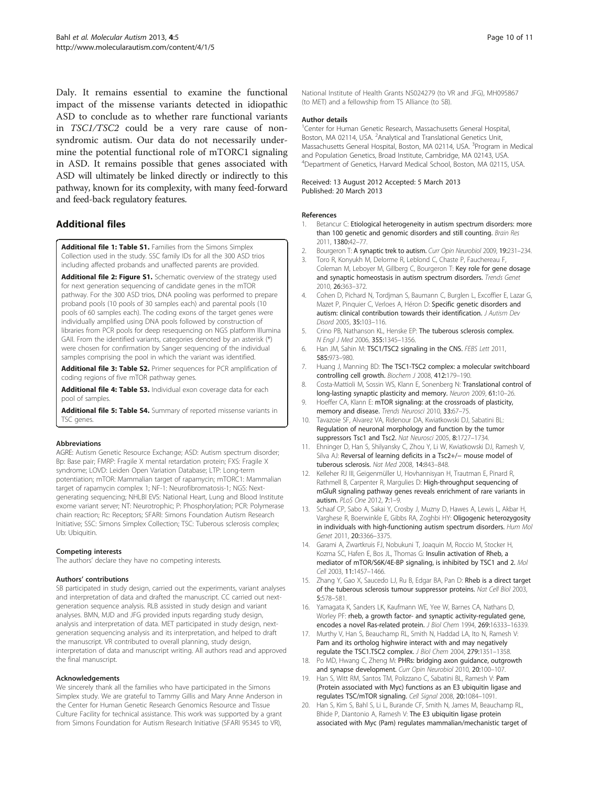<span id="page-9-0"></span>Daly. It remains essential to examine the functional impact of the missense variants detected in idiopathic ASD to conclude as to whether rare functional variants in TSC1/TSC2 could be a very rare cause of nonsyndromic autism. Our data do not necessarily undermine the potential functional role of mTORC1 signaling in ASD. It remains possible that genes associated with ASD will ultimately be linked directly or indirectly to this pathway, known for its complexity, with many feed-forward and feed-back regulatory features.

# Additional files

[Additional file 1: Table S1.](http://www.biomedcentral.com/content/supplementary/2040-2392-4-5-S1.xls) Families from the Simons Simplex Collection used in the study. SSC family IDs for all the 300 ASD trios including affected probands and unaffected parents are provided.

[Additional file 2: Figure S1.](http://www.biomedcentral.com/content/supplementary/2040-2392-4-5-S2.pdf) Schematic overview of the strategy used for next generation sequencing of candidate genes in the mTOR pathway. For the 300 ASD trios, DNA pooling was performed to prepare proband pools (10 pools of 30 samples each) and parental pools (10 pools of 60 samples each). The coding exons of the target genes were individually amplified using DNA pools followed by construction of libraries from PCR pools for deep resequencing on NGS platform Illumina GAII. From the identified variants, categories denoted by an asterisk (\*) were chosen for confirmation by Sanger sequencing of the individual samples comprising the pool in which the variant was identified.

[Additional file 3: Table S2.](http://www.biomedcentral.com/content/supplementary/2040-2392-4-5-S3.xls) Primer sequences for PCR amplification of coding regions of five mTOR pathway genes.

[Additional file 4: Table S3.](http://www.biomedcentral.com/content/supplementary/2040-2392-4-5-S4.xls) Individual exon coverage data for each pool of samples.

[Additional file 5: Table S4.](http://www.biomedcentral.com/content/supplementary/2040-2392-4-5-S5.xls) Summary of reported missense variants in TSC genes.

#### Abbreviations

AGRE: Autism Genetic Resource Exchange; ASD: Autism spectrum disorder; Bp: Base pair; FMRP: Fragile X mental retardation protein; FXS: Fragile X syndrome; LOVD: Leiden Open Variation Database; LTP: Long-term potentiation; mTOR: Mammalian target of rapamycin; mTORC1: Mammalian target of rapamycin complex 1; NF-1: Neurofibromatosis-1; NGS: Nextgenerating sequencing; NHLBI EVS: National Heart, Lung and Blood Institute exome variant server; NT: Neurotrophic; P: Phosphorylation; PCR: Polymerase chain reaction; Rc: Receptors; SFARI: Simons Foundation Autism Research Initiative; SSC: Simons Simplex Collection; TSC: Tuberous sclerosis complex; Ub: Ubiquitin.

#### Competing interests

The authors' declare they have no competing interests.

#### Authors' contributions

SB participated in study design, carried out the experiments, variant analyses and interpretation of data and drafted the manuscript. CC carried out nextgeneration sequence analysis. RLB assisted in study design and variant analyses. BMN, MJD and JFG provided inputs regarding study design, analysis and interpretation of data. MET participated in study design, nextgeneration sequencing analysis and its interpretation, and helped to draft the manuscript. VR contributed to overall planning, study design, interpretation of data and manuscript writing. All authors read and approved the final manuscript.

#### Acknowledgements

We sincerely thank all the families who have participated in the Simons Simplex study. We are grateful to Tammy Gillis and Mary Anne Anderson in the Center for Human Genetic Research Genomics Resource and Tissue Culture Facility for technical assistance. This work was supported by a grant from Simons Foundation for Autism Research Initiative (SFARI 95345 to VR),

National Institute of Health Grants NS024279 (to VR and JFG), MH095867 (to MET) and a fellowship from TS Alliance (to SB).

#### Author details

<sup>1</sup> Center for Human Genetic Research, Massachusetts General Hospital, Boston, MA 02114, USA. <sup>2</sup> Analytical and Translational Genetics Unit Massachusetts General Hospital, Boston, MA 02114, USA. <sup>3</sup>Program in Medical and Population Genetics, Broad Institute, Cambridge, MA 02143, USA. 4 Department of Genetics, Harvard Medical School, Boston, MA 02115, USA.

#### Received: 13 August 2012 Accepted: 5 March 2013 Published: 20 March 2013

#### References

- 1. Betancur C: Etiological heterogeneity in autism spectrum disorders: more than 100 genetic and genomic disorders and still counting. Brain Res 2011, 1380:42–77.
- 2. Bourgeron T: A synaptic trek to autism. Curr Opin Neurobiol 2009, 19:231-234.
- 3. Toro R, Konyukh M, Delorme R, Leblond C, Chaste P, Fauchereau F, Coleman M, Leboyer M, Gillberg C, Bourgeron T: Key role for gene dosage and synaptic homeostasis in autism spectrum disorders. Trends Genet 2010, 26:363–372.
- 4. Cohen D, Pichard N, Tordjman S, Baumann C, Burglen L, Excoffier E, Lazar G, Mazet P, Pinquier C, Verloes A, Héron D: Specific genetic disorders and autism: clinical contribution towards their identification. J Autism Dev Disord 2005, 35:103–116.
- 5. Crino PB, Nathanson KL, Henske EP: The tuberous sclerosis complex. N Engl J Med 2006, 355:1345–1356.
- 6. Han JM, Sahin M: TSC1/TSC2 signaling in the CNS. FEBS Lett 2011, 585:973–980.
- 7. Huang J, Manning BD: The TSC1-TSC2 complex: a molecular switchboard controlling cell growth. Biochem J 2008, 412:179–190.
- 8. Costa-Mattioli M, Sossin WS, Klann E, Sonenberg N: Translational control of long-lasting synaptic plasticity and memory. Neuron 2009, 61:10–26.
- 9. Hoeffer CA, Klann E: mTOR signaling: at the crossroads of plasticity, memory and disease. Trends Neurosci 2010, 33:67-75.
- 10. Tavazoie SF, Alvarez VA, Ridenour DA, Kwiatkowski DJ, Sabatini BL: Regulation of neuronal morphology and function by the tumor suppressors Tsc1 and Tsc2. Nat Neurosci 2005, 8:1727–1734.
- 11. Ehninger D, Han S, Shilyansky C, Zhou Y, Li W, Kwiatkowski DJ, Ramesh V, Silva AJ: Reversal of learning deficits in a Tsc2+/− mouse model of tuberous sclerosis. Nat Med 2008, 14:843–848.
- 12. Kelleher RJ III, Geigenmüller U, Hovhannisyan H, Trautman E, Pinard R, Rathmell B, Carpenter R, Margulies D: High-throughput sequencing of mGluR signaling pathway genes reveals enrichment of rare variants in autism. PLoS One 2012, 7:1–9.
- 13. Schaaf CP, Sabo A, Sakai Y, Crosby J, Muzny D, Hawes A, Lewis L, Akbar H, Varghese R, Boerwinkle E, Gibbs RA, Zoghbi HY: Oligogenic heterozygosity in individuals with high-functioning autism spectrum disorders. Hum Mol Genet 2011, 20:3366–3375.
- 14. Garami A, Zwartkruis FJ, Nobukuni T, Joaquin M, Roccio M, Stocker H, Kozma SC, Hafen E, Bos JL, Thomas G: Insulin activation of Rheb, a mediator of mTOR/S6K/4E-BP signaling, is inhibited by TSC1 and 2. Mol Cell 2003, 11:1457–1466.
- 15. Zhang Y, Gao X, Saucedo LJ, Ru B, Edgar BA, Pan D: Rheb is a direct target of the tuberous sclerosis tumour suppressor proteins. Nat Cell Biol 2003, 5:578–581.
- 16. Yamagata K, Sanders LK, Kaufmann WE, Yee W, Barnes CA, Nathans D, Worley PF: rheb, a growth factor- and synaptic activity-regulated gene, encodes a novel Ras-related protein. J Biol Chem 1994, 269:16333-16339.
- 17. Murthy V, Han S, Beauchamp RL, Smith N, Haddad LA, Ito N, Ramesh V: Pam and its ortholog highwire interact with and may negatively regulate the TSC1.TSC2 complex. J Biol Chem 2004, 279:1351–1358.
- 18. Po MD, Hwang C, Zheng M: PHRs: bridging axon guidance, outgrowth and synapse development. Curr Opin Neurobiol 2010, 20:100-107.
- 19. Han S, Witt RM, Santos TM, Polizzano C, Sabatini BL, Ramesh V: Pam (Protein associated with Myc) functions as an E3 ubiquitin ligase and regulates TSC/mTOR signaling. Cell Signal 2008, 20:1084–1091.
- 20. Han S, Kim S, Bahl S, Li L, Burande CF, Smith N, James M, Beauchamp RL, Bhide P, Diantonio A, Ramesh V: The E3 ubiquitin ligase protein associated with Myc (Pam) regulates mammalian/mechanistic target of